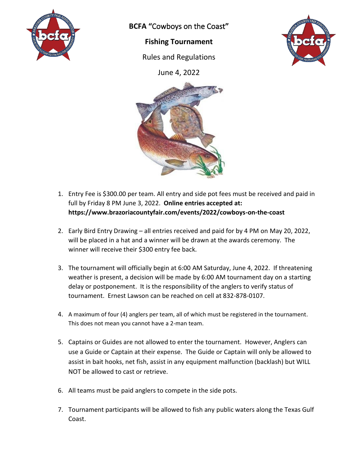

**BCFA "**Cowboys on the Coast**"**

## **Fishing Tournament**

Rules and Regulations



June 4, 2022



- 1. Entry Fee is \$300.00 per team. All entry and side pot fees must be received and paid in full by Friday 8 PM June 3, 2022. **Online entries accepted at: https://www.brazoriacountyfair.com/events/2022/cowboys-on-the-coast**
- 2. Early Bird Entry Drawing all entries received and paid for by 4 PM on May 20, 2022, will be placed in a hat and a winner will be drawn at the awards ceremony. The winner will receive their \$300 entry fee back.
- 3. The tournament will officially begin at 6:00 AM Saturday, June 4, 2022. If threatening weather is present, a decision will be made by 6:00 AM tournament day on a starting delay or postponement. It is the responsibility of the anglers to verify status of tournament. Ernest Lawson can be reached on cell at 832-878-0107.
- 4. A maximum of four (4) anglers per team, all of which must be registered in the tournament. This does not mean you cannot have a 2-man team.
- 5. Captains or Guides are not allowed to enter the tournament. However, Anglers can use a Guide or Captain at their expense. The Guide or Captain will only be allowed to assist in bait hooks, net fish, assist in any equipment malfunction (backlash) but WILL NOT be allowed to cast or retrieve.
- 6. All teams must be paid anglers to compete in the side pots.
- 7. Tournament participants will be allowed to fish any public waters along the Texas Gulf Coast.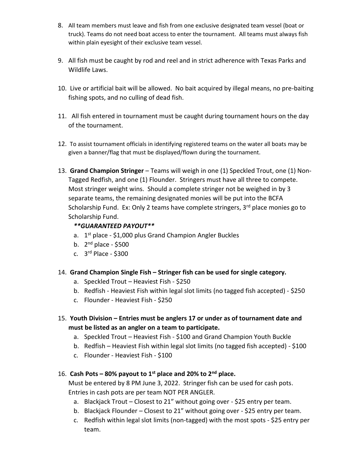- 8. All team members must leave and fish from one exclusive designated team vessel (boat or truck). Teams do not need boat access to enter the tournament. All teams must always fish within plain eyesight of their exclusive team vessel.
- 9. All fish must be caught by rod and reel and in strict adherence with Texas Parks and Wildlife Laws.
- 10. Live or artificial bait will be allowed. No bait acquired by illegal means, no pre-baiting fishing spots, and no culling of dead fish.
- 11. All fish entered in tournament must be caught during tournament hours on the day of the tournament.
- 12. To assist tournament officials in identifying registered teams on the water all boats may be given a banner/flag that must be displayed/flown during the tournament.
- 13. **Grand Champion Stringer** Teams will weigh in one (1) Speckled Trout, one (1) Non-Tagged Redfish, and one (1) Flounder. Stringers must have all three to compete. Most stringer weight wins. Should a complete stringer not be weighed in by 3 separate teams, the remaining designated monies will be put into the BCFA Scholarship Fund. Ex: Only 2 teams have complete stringers, 3<sup>rd</sup> place monies go to Scholarship Fund.

## *\*\*GUARANTEED PAYOUT\*\**

- a. 1<sup>st</sup> place \$1,000 plus Grand Champion Angler Buckles
- b. 2<sup>nd</sup> place \$500
- c. 3<sup>rd</sup> Place \$300
- 14. **Grand Champion Single Fish – Stringer fish can be used for single category.**
	- a. Speckled Trout Heaviest Fish \$250
	- b. Redfish Heaviest Fish within legal slot limits (no tagged fish accepted) \$250
	- c. Flounder Heaviest Fish \$250
- 15. **Youth Division – Entries must be anglers 17 or under as of tournament date and must be listed as an angler on a team to participate.** 
	- a. Speckled Trout Heaviest Fish \$100 and Grand Champion Youth Buckle
	- b. Redfish Heaviest Fish within legal slot limits (no tagged fish accepted) \$100
	- c. Flounder Heaviest Fish \$100

## 16. **Cash Pots – 80% payout to 1st place and 20% to 2nd place.**

Must be entered by 8 PM June 3, 2022. Stringer fish can be used for cash pots. Entries in cash pots are per team NOT PER ANGLER.

- a. Blackjack Trout Closest to 21" without going over \$25 entry per team.
- b. Blackjack Flounder Closest to 21" without going over \$25 entry per team.
- c. Redfish within legal slot limits (non-tagged) with the most spots \$25 entry per team.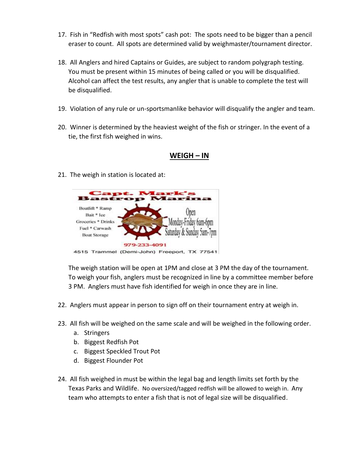- 17. Fish in "Redfish with most spots" cash pot: The spots need to be bigger than a pencil eraser to count. All spots are determined valid by weighmaster/tournament director.
- 18. All Anglers and hired Captains or Guides, are subject to random polygraph testing. You must be present within 15 minutes of being called or you will be disqualified. Alcohol can affect the test results, any angler that is unable to complete the test will be disqualified.
- 19. Violation of any rule or un-sportsmanlike behavior will disqualify the angler and team.
- 20. Winner is determined by the heaviest weight of the fish or stringer. In the event of a tie, the first fish weighed in wins.

## **WEIGH – IN**

21. The weigh in station is located at:



The weigh station will be open at 1PM and close at 3 PM the day of the tournament. To weigh your fish, anglers must be recognized in line by a committee member before 3 PM. Anglers must have fish identified for weigh in once they are in line.

- 22. Anglers must appear in person to sign off on their tournament entry at weigh in.
- 23. All fish will be weighed on the same scale and will be weighed in the following order.
	- a. Stringers
	- b. Biggest Redfish Pot
	- c. Biggest Speckled Trout Pot
	- d. Biggest Flounder Pot
- 24. All fish weighed in must be within the legal bag and length limits set forth by the Texas Parks and Wildlife. No oversized/tagged redfish will be allowed to weigh in. Any team who attempts to enter a fish that is not of legal size will be disqualified.